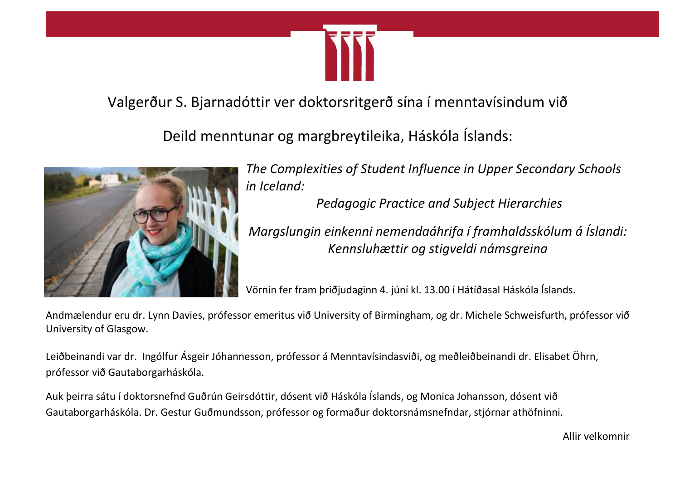

Valgerður S. Bjarnadóttir ver doktorsritgerð sína í menntavísindum við

Deild menntunar og margbreytileika, Háskóla Íslands:



*The Complexities of Student Influence in Upper Secondary Schools in Iceland:*

*Pedagogic Practice and Subject Hierarchies* 

*Margslungin einkenni nemendaáhrifa í framhaldsskólum á Íslandi: Kennsluhættir og stigveldi námsgreina*

Vörnin fer fram þriðjudaginn 4. júní kl. 13.00 í Hátíðasal Háskóla Íslands.

Andmælendur eru dr. Lynn Davies, prófessor emeritus við University of Birmingham, og dr. Michele Schweisfurth, prófessor við University of Glasgow.

Leiðbeinandi var dr. Ingólfur Ásgeir Jóhannesson, prófessor á Menntavísindasviði, og meðleiðbeinandi dr. Elisabet Öhrn, prófessor við Gautaborgarháskóla.

Auk þeirra sátu í doktorsnefnd Guðrún Geirsdóttir, dósent við Háskóla Íslands, og Monica Johansson, dósent við Gautaborgarháskóla. Dr. Gestur Guðmundsson, prófessor og formaður doktorsnámsnefndar, stjórnar athöfninni.

Allir velkomnir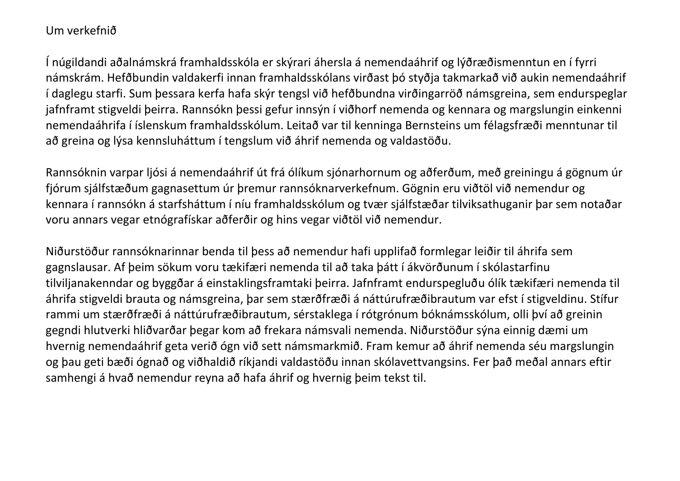## Um verkefnið

Í núgildandi aðalnámskrá framhaldsskóla er skýrari áhersla á nemendaáhrif og lýðræðismenntun en í fyrri námskrám. Hefðbundin valdakerfi innan framhaldsskólans virðast þó styðja takmarkað við aukin nemendaáhrif í daglegu starfi. Sum þessara kerfa hafa skýr tengsl við hefðbundna virðingarröð námsgreina, sem endurspeglar jafnframt stigveldi þeirra. Rannsókn þessi gefur innsýn í viðhorf nemenda og kennara og margslungin einkenni nemendaáhrifa í íslenskum framhaldsskólum. Leitað var til kenninga Bernsteins um félagsfræði menntunar til að greina og lýsa kennsluháttum í tengslum við áhrif nemenda og valdastöðu.

Rannsóknin varpar ljósi á nemendaáhrif út frá ólíkum sjónarhornum og aðferðum, með greiningu á gögnum úr fjórum sjálfstæðum gagnasettum úr þremur rannsóknarverkefnum. Gögnin eru viðtöl við nemendur og kennara í rannsókn á starfsháttum í níu framhaldsskólum og tvær sjálfstæðar tilviksathuganir þar sem notaðar voru annars vegar etnógrafískar aðferðir og hins vegar viðtöl við nemendur.

Niðurstöður rannsóknarinnar benda til þess að nemendur hafi upplifað formlegar leiðir til áhrifa sem gagnslausar. Af þeim sökum voru tækifæri nemenda til að taka þátt í ákvörðunum í skólastarfinu tilviljanakenndar og byggðar á einstaklingsframtaki þeirra. Jafnframt endurspegluðu ólík tækifæri nemenda til áhrifa stigveldi brauta og námsgreina, þar sem stærðfræði á náttúrufræðibrautum var efst í stigveldinu. Stífur rammi um stærðfræði á náttúrufræðibrautum, sérstaklega í rótgrónum bóknámsskólum, olli því að greinin gegndi hlutverki hliðvarðar þegar kom að frekara námsvali nemenda. Niðurstöður sýna einnig dæmi um hvernig nemendaáhrif geta verið ógn við sett námsmarkmið. Fram kemur að áhrif nemenda séu margslungin og þau geti bæði ógnað og viðhaldið ríkjandi valdastöðu innan skólavettvangsins. Fer það meðal annars eftir samhengi á hvað nemendur reyna að hafa áhrif og hvernig þeim tekst til.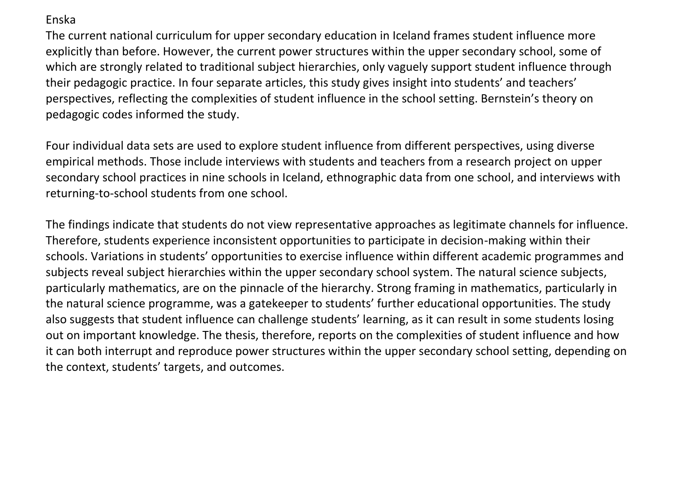## Enska

The current national curriculum for upper secondary education in Iceland frames student influence more explicitly than before. However, the current power structures within the upper secondary school, some of which are strongly related to traditional subject hierarchies, only vaguely support student influence through their pedagogic practice. In four separate articles, this study gives insight into students' and teachers' perspectives, reflecting the complexities of student influence in the school setting. Bernstein's theory on pedagogic codes informed the study.

Four individual data sets are used to explore student influence from different perspectives, using diverse empirical methods. Those include interviews with students and teachers from a research project on upper secondary school practices in nine schools in Iceland, ethnographic data from one school, and interviews with returning-to-school students from one school.

The findings indicate that students do not view representative approaches as legitimate channels for influence. Therefore, students experience inconsistent opportunities to participate in decision-making within their schools. Variations in students' opportunities to exercise influence within different academic programmes and subjects reveal subject hierarchies within the upper secondary school system. The natural science subjects, particularly mathematics, are on the pinnacle of the hierarchy. Strong framing in mathematics, particularly in the natural science programme, was a gatekeeper to students' further educational opportunities. The study also suggests that student influence can challenge students' learning, as it can result in some students losing out on important knowledge. The thesis, therefore, reports on the complexities of student influence and how it can both interrupt and reproduce power structures within the upper secondary school setting, depending on the context, students' targets, and outcomes.